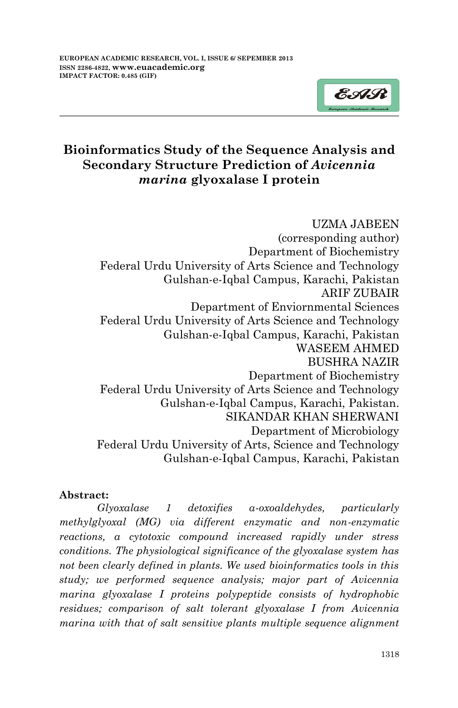

# **Bioinformatics Study of the Sequence Analysis and Secondary Structure Prediction of** *Avicennia marina* **glyoxalase I protein**

UZMA JABEEN (corresponding author) Department of Biochemistry Federal Urdu University of Arts Science and Technology Gulshan-e-Iqbal Campus, Karachi, Pakistan ARIF ZUBAIR Department of Enviornmental Sciences Federal Urdu University of Arts Science and Technology Gulshan-e-Iqbal Campus, Karachi, Pakistan WASEEM AHMED BUSHRA NAZIR Department of Biochemistry Federal Urdu University of Arts Science and Technology Gulshan-e-Iqbal Campus, Karachi, Pakistan. SIKANDAR KHAN SHERWANI Department of Microbiology Federal Urdu University of Arts, Science and Technology Gulshan-e-Iqbal Campus, Karachi, Pakistan

## **Abstract:**

*Glyoxalase 1 detoxifies α-oxoaldehydes, particularly methylglyoxal (MG) via different enzymatic and non-enzymatic reactions, a cytotoxic compound increased rapidly under stress conditions. The physiological significance of the glyoxalase system has not been clearly defined in plants. We used bioinformatics tools in this study; we performed sequence analysis; major part of Avicennia marina glyoxalase I proteins polypeptide consists of hydrophobic residues; comparison of salt tolerant glyoxalase I from Avicennia marina with that of salt sensitive plants multiple sequence alignment*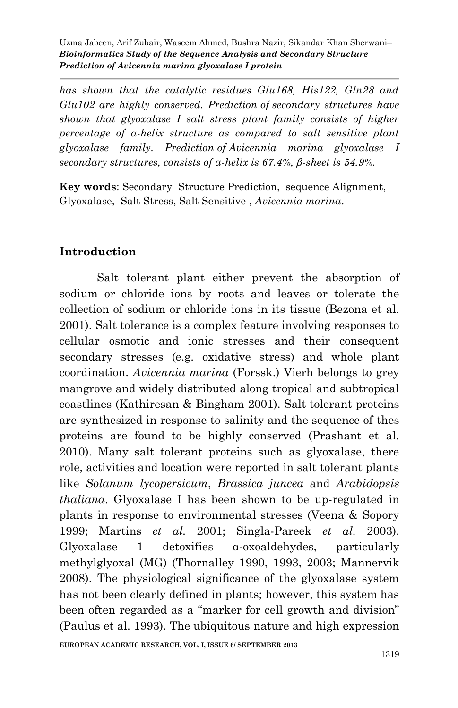*has shown that the catalytic residues Glu168, His122, Gln28 and Glu102 are highly conserved. Prediction of secondary structures have shown that glyoxalase I salt stress plant family consists of higher percentage of α-helix structure as compared to salt sensitive plant glyoxalase family. Prediction of Avicennia marina glyoxalase I secondary structures, consists of α-helix is 67.4%, β-sheet is 54.9%.*

**Key words**: Secondary Structure Prediction, sequence Alignment, Glyoxalase, Salt Stress, Salt Sensitive , *Avicennia marina*.

## **Introduction**

Salt tolerant plant either prevent the absorption of sodium or chloride ions by roots and leaves or tolerate the collection of sodium or chloride ions in its tissue (Bezona et al. 2001). Salt tolerance is a complex feature involving responses to cellular osmotic and ionic stresses and their consequent secondary stresses (e.g. oxidative stress) and whole plant coordination. *Avicennia marina* (Forssk.) Vierh belongs to grey mangrove and widely distributed along tropical and subtropical coastlines (Kathiresan & Bingham 2001). Salt tolerant proteins are synthesized in response to salinity and the sequence of thes proteins are found to be highly conserved (Prashant et al. 2010). Many salt tolerant proteins such as glyoxalase, there role, activities and location were reported in salt tolerant plants like *Solanum lycopersicum*, *Brassica juncea* and *Arabidopsis thaliana*. Glyoxalase I has been shown to be up-regulated in plants in response to environmental stresses (Veena & Sopory 1999; Martins *et al.* 2001; Singla-Pareek *et al.* 2003). Glyoxalase 1 detoxifies α-oxoaldehydes, particularly methylglyoxal (MG) (Thornalley 1990, 1993, 2003; Mannervik 2008). The physiological significance of the glyoxalase system has not been clearly defined in plants; however, this system has been often regarded as a "marker for cell growth and division" (Paulus et al. 1993). The ubiquitous nature and high expression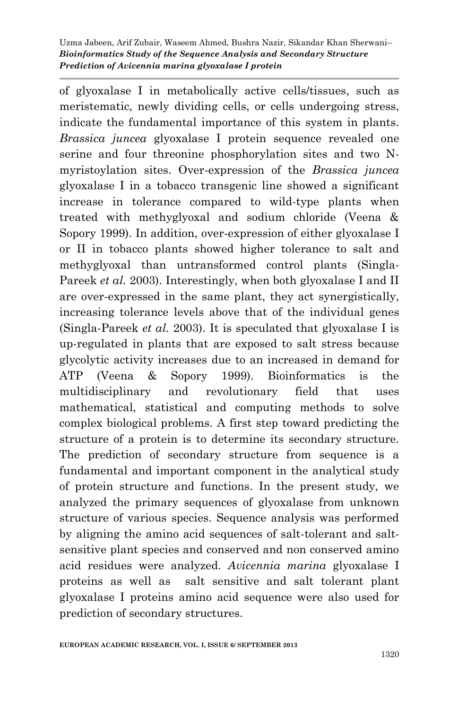of glyoxalase I in metabolically active cells/tissues, such as meristematic, newly dividing cells, or cells undergoing stress, indicate the fundamental importance of this system in plants. *Brassica juncea* glyoxalase I protein sequence revealed one serine and four threonine phosphorylation sites and two Nmyristoylation sites. Over-expression of the *Brassica juncea* glyoxalase I in a tobacco transgenic line showed a significant increase in tolerance compared to wild-type plants when treated with methyglyoxal and sodium chloride (Veena & Sopory 1999). In addition, over-expression of either glyoxalase I or II in tobacco plants showed higher tolerance to salt and methyglyoxal than untransformed control plants (Singla-Pareek *et al.* 2003). Interestingly, when both glyoxalase I and II are over-expressed in the same plant, they act synergistically, increasing tolerance levels above that of the individual genes (Singla-Pareek *et al.* 2003). It is speculated that glyoxalase I is up-regulated in plants that are exposed to salt stress because glycolytic activity increases due to an increased in demand for ATP (Veena & Sopory 1999). Bioinformatics is the multidisciplinary and revolutionary field that uses mathematical, statistical and computing methods to solve complex biological problems. A first step toward predicting the structure of a protein is to determine its secondary structure. The prediction of secondary structure from sequence is a fundamental and important component in the analytical study of protein structure and functions. In the present study, we analyzed the primary sequences of glyoxalase from unknown structure of various species. Sequence analysis was performed by aligning the amino acid sequences of salt-tolerant and saltsensitive plant species and conserved and non conserved amino acid residues were analyzed. *Avicennia marina* glyoxalase I proteins as well as salt sensitive and salt tolerant plant glyoxalase I proteins amino acid sequence were also used for prediction of secondary structures.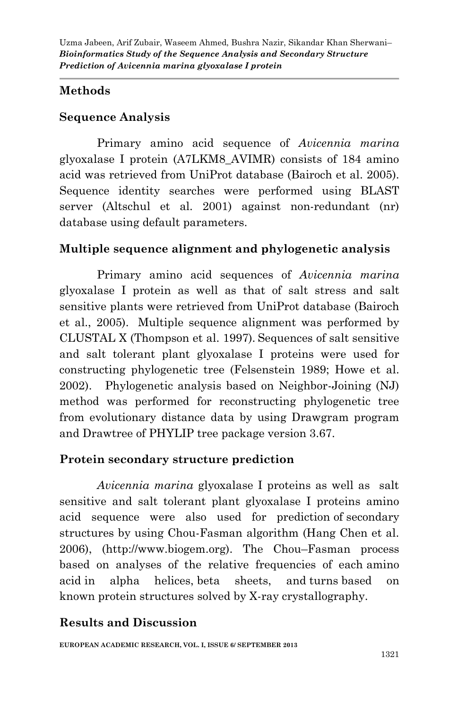## **Methods**

# **Sequence Analysis**

Primary amino acid sequence of *Avicennia marina*  glyoxalase I protein (A7LKM8\_AVIMR) consists of 184 amino acid was retrieved from UniProt database (Bairoch et al. 2005). Sequence identity searches were performed using BLAST server (Altschul et al. 2001) against non-redundant (nr) database using default parameters.

# **Multiple sequence alignment and phylogenetic analysis**

Primary amino acid sequences of *Avicennia marina* glyoxalase I protein as well as that of salt stress and salt sensitive plants were retrieved from UniProt database (Bairoch et al., 2005). Multiple sequence alignment was performed by CLUSTAL X (Thompson et al. 1997). Sequences of salt sensitive and salt tolerant plant glyoxalase I proteins were used for constructing phylogenetic tree (Felsenstein 1989; Howe et al. 2002). Phylogenetic analysis based on Neighbor-Joining (NJ) method was performed for reconstructing phylogenetic tree from evolutionary distance data by using Drawgram program and Drawtree of PHYLIP tree package version 3.67.

# **Protein secondary structure prediction**

*Avicennia marina* glyoxalase I proteins as well as salt sensitive and salt tolerant plant glyoxalase I proteins amino acid sequence were also used for prediction of secondary structures by using Chou-Fasman algorithm (Hang Chen et al. 2006), (http://www.biogem.org). The Chou–Fasman process based on analyses of the relative frequencies of each amino acid in alpha helices, beta sheets, and turns based on known protein structures solved by X-ray crystallography.

# **Results and Discussion**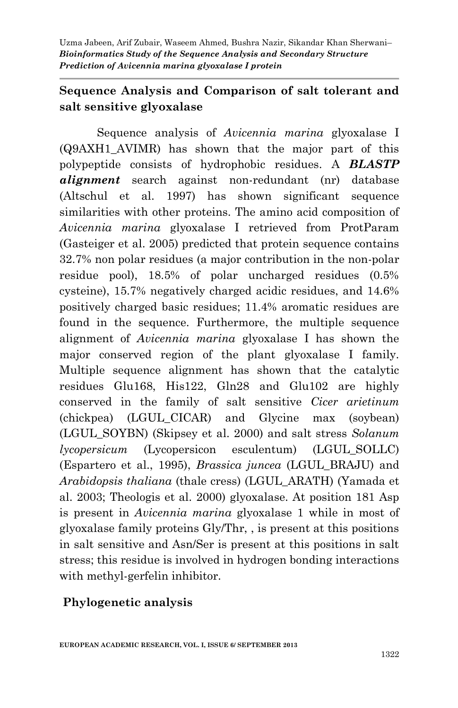# **Sequence Analysis and Comparison of salt tolerant and salt sensitive glyoxalase**

Sequence analysis of *Avicennia marina* glyoxalase I (Q9AXH1\_AVIMR) has shown that the major part of this polypeptide consists of hydrophobic residues. A *BLASTP alignment* search against non-redundant (nr) database (Altschul et al. 1997) has shown significant sequence similarities with other proteins. The amino acid composition of *Avicennia marina* glyoxalase I retrieved from ProtParam (Gasteiger et al. 2005) predicted that protein sequence contains 32.7% non polar residues (a major contribution in the non-polar residue pool), 18.5% of polar uncharged residues (0.5% cysteine), 15.7% negatively charged acidic residues, and 14.6% positively charged basic residues; 11.4% aromatic residues are found in the sequence. Furthermore, the multiple sequence alignment of *Avicennia marina* glyoxalase I has shown the major conserved region of the plant glyoxalase I family. Multiple sequence alignment has shown that the catalytic residues Glu168, His122, Gln28 and Glu102 are highly conserved in the family of salt sensitive *Cicer arietinum* (chickpea) (LGUL\_CICAR) and Glycine max (soybean) (LGUL\_SOYBN) (Skipsey et al. 2000) and salt stress *Solanum lycopersicum* (Lycopersicon esculentum) (LGUL\_SOLLC) (Espartero et al., 1995), *Brassica juncea* (LGUL\_BRAJU) and *Arabidopsis thaliana* (thale cress) (LGUL\_ARATH) (Yamada et al. 2003; Theologis et al. 2000) glyoxalase. At position 181 Asp is present in *Avicennia marina* glyoxalase 1 while in most of glyoxalase family proteins Gly/Thr, , is present at this positions in salt sensitive and Asn/Ser is present at this positions in salt stress; this residue is involved in hydrogen bonding interactions with methyl-gerfelin inhibitor.

# **Phylogenetic analysis**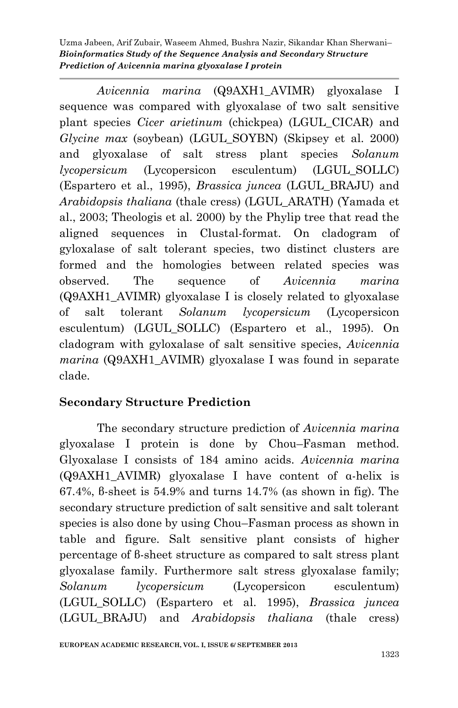*Avicennia marina* (Q9AXH1\_AVIMR) glyoxalase I sequence was compared with glyoxalase of two salt sensitive plant species *Cicer arietinum* (chickpea) (LGUL\_CICAR) and *Glycine max* (soybean) (LGUL\_SOYBN) (Skipsey et al. 2000) and glyoxalase of salt stress plant species *Solanum lycopersicum* (Lycopersicon esculentum) (LGUL\_SOLLC) (Espartero et al., 1995), *Brassica juncea* (LGUL\_BRAJU) and *Arabidopsis thaliana* (thale cress) (LGUL\_ARATH) (Yamada et al., 2003; Theologis et al. 2000) by the Phylip tree that read the aligned sequences in Clustal-format. On cladogram of gyloxalase of salt tolerant species, two distinct clusters are formed and the homologies between related species was observed. The sequence of *Avicennia marina* (Q9AXH1\_AVIMR) glyoxalase I is closely related to glyoxalase of salt tolerant *Solanum lycopersicum* (Lycopersicon esculentum) (LGUL\_SOLLC) (Espartero et al., 1995). On cladogram with gyloxalase of salt sensitive species, *Avicennia marina* (Q9AXH1\_AVIMR) glyoxalase I was found in separate clade.

# **Secondary Structure Prediction**

The secondary structure prediction of *Avicennia marina* glyoxalase I protein is done by Chou–Fasman method. Glyoxalase I consists of 184 amino acids. *Avicennia marina* (Q9AXH1\_AVIMR) glyoxalase I have content of α-helix is 67.4%, β-sheet is 54.9% and turns 14.7% (as shown in fig). The secondary structure prediction of salt sensitive and salt tolerant species is also done by using Chou–Fasman process as shown in table and figure. Salt sensitive plant consists of higher percentage of β-sheet structure as compared to salt stress plant glyoxalase family. Furthermore salt stress glyoxalase family; *Solanum lycopersicum* (Lycopersicon esculentum) (LGUL\_SOLLC) (Espartero et al. 1995), *Brassica juncea* (LGUL\_BRAJU) and *Arabidopsis thaliana* (thale cress)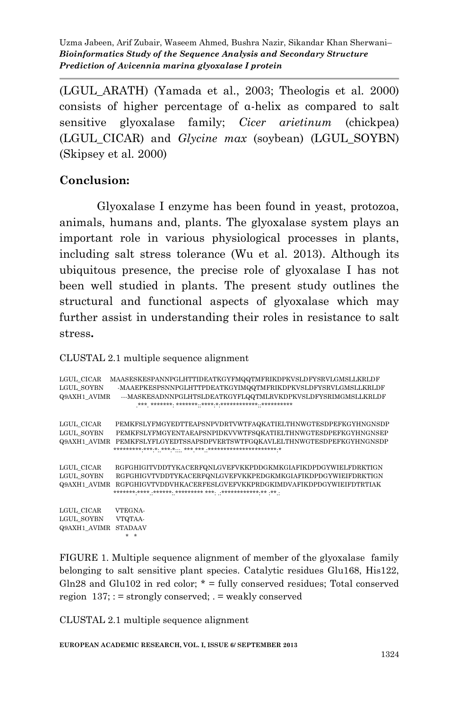(LGUL\_ARATH) (Yamada et al., 2003; Theologis et al. 2000) consists of higher percentage of α-helix as compared to salt sensitive glyoxalase family; *Cicer arietinum* (chickpea) (LGUL\_CICAR) and *Glycine max* (soybean) (LGUL\_SOYBN) (Skipsey et al. 2000)

## **Conclusion:**

Glyoxalase I enzyme has been found in yeast, protozoa, animals, humans and, plants. The glyoxalase system plays an important role in various physiological processes in plants, including salt stress tolerance (Wu et al. 2013). Although its ubiquitous presence, the precise role of glyoxalase I has not been well studied in plants. The present study outlines the structural and functional aspects of glyoxalase which may further assist in understanding their roles in resistance to salt stress**.**

CLUSTAL 2.1 multiple sequence alignment

| LGUL CICAR<br>LGUL SOYBN<br>Q9AXH1 AVIMR | MAASESKESPANNPGLHTTIDEATKGYFMQQTMFRIKDPKVSLDFYSRVLGMSLLKRLDF<br>-MAAEPKESPSNNPGLHTTPDEATKGYIMQQTMFRIKDPKVSLDFYSRVLGMSLLKRLDF<br>---MASKESADNNPGLHTSLDEATKGYFLQQTMLRVKDPKVSLDFYSRIMGMSLLKRLDF              |
|------------------------------------------|-----------------------------------------------------------------------------------------------------------------------------------------------------------------------------------------------------------|
| LGUL CICAR<br>LGUL SOYBN                 | PEMKFSLYFMGYEDTTEAPSNPVDRTVWTFAQKATIELTHNWGTESDPEFKGYHNGNSDP<br>PEMKFSLYFMGYENTAEAPSNPIDKVVWTFSQKATIELTHNWGTESDPEFKGYHNGNSEP<br>Q9AXH1 AVIMR PEMKFSLYFLGYEDTSSAPSDPVERTSWTFGQKAVLELTHNWGTESDPEFKGYHNGNSDP |
| LGUL CICAR<br>LGUL SOYBN<br>Q9AXH1 AVIMR | RGFGHIGITVDDTYKACERFQNLGVEFVKKPDDGKMKGIAFIKDPDGYWIELFDRKTIGN<br>RGFGHIGVTVDDTYKACERFQNLGVEFVKKPEDGKMKGIAFIKDPDGYWIEIFDRKTIGN<br>RGFGHIGVTVDDVHKACERFESLGVEFVKKPRDGKIMDVAFIKDPDGYWIEIFDTRTIAK              |
| LGUL CICAR<br>LGUL SOYBN<br>Q9AXH1 AVIMR | VTEGNA-<br>VTQTAA-<br><b>STADAAV</b>                                                                                                                                                                      |

FIGURE 1. Multiple sequence alignment of member of the glyoxalase family belonging to salt sensitive plant species. Catalytic residues Glu168, His122, Gln28 and Glu102 in red color;  $* = \text{fully conserved residues}$ ; Total conserved region  $137$ ; : = strongly conserved; . = weakly conserved

CLUSTAL 2.1 multiple sequence alignment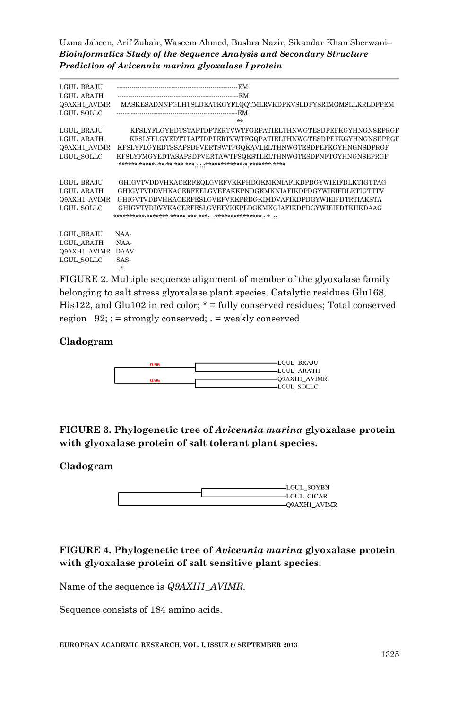| LGUL BRAJU<br>LGUL ARATH<br>Q9AXH1 AVIMR<br>LGUL SOLLC | MASKESADNNPGLHTSLDEATKGYFLQQTMLRVKDPKVSLDFYSRIMGMSLLKRLDFPEM<br><b>Service</b>                                                                                                                                                                               |
|--------------------------------------------------------|--------------------------------------------------------------------------------------------------------------------------------------------------------------------------------------------------------------------------------------------------------------|
| LGUL BRAJU<br>LGUL ARATH<br>Q9AXH1 AVIMR<br>LGUL SOLLC | KFSLYFLGYEDTSTAPTDPTERTVWTFGRPATIELTHNWGTESDPEFKGYHNGNSEPRGF<br>KFSLYFLGYEDTTTAPTDPTERTVWTFGQPATIELTHNWGTESDPEFKGYHNGNSEPRGF<br>KFSLYFLGYEDTSSAPSDPVERTSWTFGQKAVLELTHNWGTESDPEFKGYHNGNSDPRGF<br>KFSLYFMGYEDTASAPSDPVERTAWTFSQKSTLELTHNWGTESDPNFTGYHNGNSEPRGF |
| LGUL BRAJU<br>LGUL ARATH<br>Q9AXH1 AVIMR<br>LGUL SOLLC | GHIGVTVDDVHKACERFEQLGVEFVKKPHDGKMKNIAFIKDPDGYWIEIFDLKTIGTTAG<br>GHIGVTVDDVHKACERFEELGVEFAKKPNDGKMKNIAFIKDPDGYWIEIFDLKTIGTTTV<br>GHIGVTVDDVHKACERFESLGVEFVKKPRDGKIMDVAFIKDPDGYWIEIFDTRTIAKSTA<br>GHIGVTVDDVYKACERFESLGVEFVKKPLDGKMKGIAFIKDPDGYWIEIFDTKIIKDAAG |
| LGUL BRAJU<br>LGUL ARATH<br>Q9AXH1 AVIMR<br>LGUL SOLLC | NAA-<br>NAA-<br><b>DAAV</b><br>SAS-<br>$\star$ .                                                                                                                                                                                                             |

FIGURE 2. Multiple sequence alignment of member of the glyoxalase family belonging to salt stress glyoxalase plant species. Catalytic residues Glu168, His122, and Glu102 in red color; \* = fully conserved residues; Total conserved region  $92$ ; : = strongly conserved; . = weakly conserved

### **Cladogram**



**FIGURE 3. Phylogenetic tree of** *Avicennia marina* **glyoxalase protein with glyoxalase protein of salt tolerant plant species.**

### **Cladogram**

| -LGUL SOYBN   |
|---------------|
| -LGUL CICAR   |
|               |
| -Q9AXH1 AVIMR |

### **FIGURE 4. Phylogenetic tree of** *Avicennia marina* **glyoxalase protein with glyoxalase protein of salt sensitive plant species.**

Name of the sequence is *Q9AXH1\_AVIMR.* 

Sequence consists of 184 amino acids.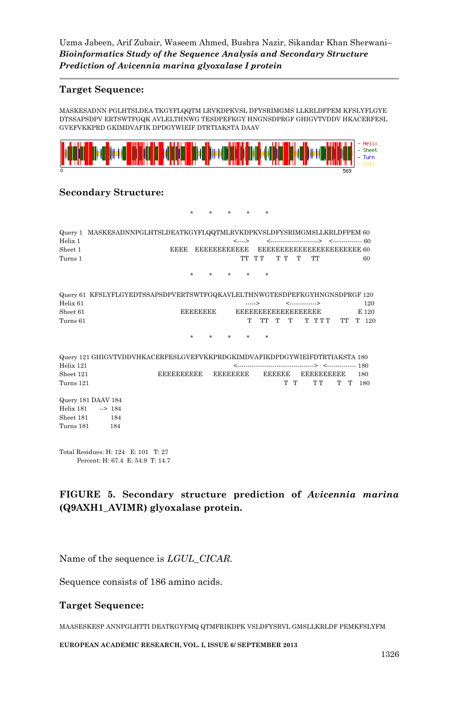### **Target Sequence:**

MASKESADNN PGLHTSLDEA TKGYFLQQTM LRVKDPKVSL DFYSRIMGMS LLKRLDFPEM KFSLYFLGYE DTSSAPSDPV ERTSWTFGQK AVLELTHNWG TESDPEFKGY HNGNSDPRGF GHIGVTVDDV HKACERFESL GVEFVKKPRD GKIMDVAFIK DPDGYWIEIF DTRTIAKSTA DAAV



#### **Secondary Structure:**

\* \* \* \* \* Query 1 MASKESADNNPGLHTSLDEATKGYFLQQTMLRVKDPKVSLDFYSRIMGMSLLKRLDFPEM 60 Helix 1 (a)  $\langle \dots \rangle$  (a)  $\langle \dots \rangle$  (a)  $\langle \dots \rangle$  (b)  $\langle \dots \rangle$  (community  $\langle \dots \rangle$  (b)  $\langle \dots \rangle$ Sheet 1 EEEE EEEEEEEEEEEE EEEEEEEEEEEEEEEEEEEEEEE 60 Turns 1 TT T T T T T TT 60 \* \* \* \* \* Query 61 KFSLYFLGYEDTSSAPSDPVERTSWTFGQKAVLELTHNWGTESDPEFKGYHNGNSDPRGF 120 Helix 61 120 Sheet 61 EEEEEEEE EEEEEEEEEEEEEEEEEEE E 120 Turns 61 Turns 61 T T T T T T T T T T T T T T 120 \* \* \* \* \* Query 121 GHIGVTVDDVHKACERFESLGVEFVKKPRDGKIMDVAFIKDPDGYWIEIFDTRTIAKSTA 180 Helix 121 <-------------------------------------> <-------------- 180 Sheet 121 EEEEEEEEEE EEEEEEEE EEEEEE EEEEEEEEEE 180 TT TT TT 180 Turns 121 Query 181 DAAV 184 Helix 181 --> 184 Sheet 181 184 Turns 181 184

Total Residues: H: 124 E: 101 T: 27 Percent: H: 67.4 E: 54.9 T: 14.7

### **FIGURE 5. Secondary structure prediction of** *Avicennia marina*  **(Q9AXH1\_AVIMR) glyoxalase protein.**

Name of the sequence is *LGUL\_CICAR.* 

Sequence consists of 186 amino acids.

#### **Target Sequence:**

MAASESKESP ANNPGLHTTI DEATKGYFMQ QTMFRIKDPK VSLDFYSRVL GMSLLKRLDF PEMKFSLYFM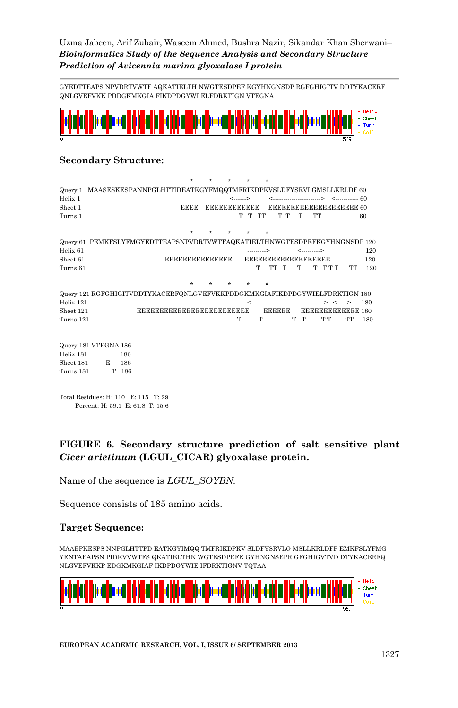GYEDTTEAPS NPVDRTVWTF AQKATIELTH NWGTESDPEF KGYHNGNSDP RGFGHIGITV DDTYKACERF QNLGVEFVKK PDDGKMKGIA FIKDPDGYWI ELFDRKTIGN VTEGNA



### **Secondary Structure:**

| Query 1 MAASESKESPANNPGLHTTIDEATKGYFMQQTMFRIKDPKVSLDFYSRVLGMSLLKRLDF 60<br>Helix 1 |   |       |                                 |             |                       |                     | <------> |            |                          |     |              |                         |           |     |
|------------------------------------------------------------------------------------|---|-------|---------------------------------|-------------|-----------------------|---------------------|----------|------------|--------------------------|-----|--------------|-------------------------|-----------|-----|
|                                                                                    |   |       |                                 |             |                       |                     |          |            |                          |     |              |                         |           |     |
| Sheet 1                                                                            |   |       |                                 | <b>EEEE</b> |                       | <b>EEEEBBBBEEBB</b> |          |            |                          |     |              | EEEEEEEEEEEEEEEEEEEE 60 |           |     |
| Turns 1                                                                            |   |       |                                 |             |                       |                     | T T TT   |            | TТ                       | T   | TT           |                         |           | 60  |
|                                                                                    |   |       |                                 |             |                       |                     |          |            |                          |     |              |                         |           |     |
| Query 61 PEMKFSLYFMGYEDTTEAPSNPVDRTVWTFAQKATIELTHNWGTESDPEFKGYHNGNSDP 120          |   |       |                                 |             |                       |                     |          |            |                          |     |              |                         |           |     |
| Helix <sub>61</sub>                                                                |   |       |                                 |             |                       |                     |          | ---------> |                          |     | <----------> |                         |           | 120 |
| Sheet 61                                                                           |   |       |                                 |             | <b>EEEEEEEEEEEEEE</b> |                     |          |            | <b>EEEEEEEEEEEEEEEEE</b> |     |              |                         |           | 120 |
| Turns 61                                                                           |   |       |                                 |             |                       |                     |          | T          | TT T                     | T   |              | ፐ ፐፐፐ                   | <b>TT</b> | 120 |
|                                                                                    |   |       |                                 |             |                       |                     |          |            |                          |     |              |                         |           |     |
|                                                                                    |   |       |                                 |             |                       |                     |          |            |                          |     |              |                         |           |     |
| Query 121 RGFGHIGITVDDTYKACERFQNLGVEFVKKPDDGKMKGIAFIKDPDGYWIELFDRKTIGN 180         |   |       |                                 |             |                       |                     |          |            |                          |     |              |                         |           |     |
| Helix 121                                                                          |   |       |                                 |             |                       |                     |          |            |                          |     |              | > <>                    |           | 180 |
| Sheet 121                                                                          |   |       | <b>EEEEEEEEEEEEEEEEEEEEEEEE</b> |             |                       |                     |          |            | <b>EEEEEE</b>            |     |              | EEEEEEEEEEEE 180        |           |     |
| Turns 121                                                                          |   |       |                                 |             |                       |                     | т        | T          |                          | ፐ ፐ |              | ፐ ፐ                     | TT        | 180 |
|                                                                                    |   |       |                                 |             |                       |                     |          |            |                          |     |              |                         |           |     |
| Query 181 VTEGNA 186                                                               |   |       |                                 |             |                       |                     |          |            |                          |     |              |                         |           |     |
| Helix 181                                                                          |   | 186   |                                 |             |                       |                     |          |            |                          |     |              |                         |           |     |
| Sheet 181                                                                          | E | 186   |                                 |             |                       |                     |          |            |                          |     |              |                         |           |     |
| Turns 181                                                                          |   | T 186 |                                 |             |                       |                     |          |            |                          |     |              |                         |           |     |
|                                                                                    |   |       |                                 |             |                       |                     |          |            |                          |     |              |                         |           |     |
|                                                                                    |   |       |                                 |             |                       |                     |          |            |                          |     |              |                         |           |     |
| Total Residues: H: 110 E: 115 T: 29                                                |   |       |                                 |             |                       |                     |          |            |                          |     |              |                         |           |     |

Percent: H: 59.1 E: 61.8 T: 15.6

## **FIGURE 6. Secondary structure prediction of salt sensitive plant** *Cicer arietinum* **(LGUL\_CICAR) glyoxalase protein.**

Name of the sequence is *LGUL\_SOYBN.* 

Sequence consists of 185 amino acids.

### **Target Sequence:**

MAAEPKESPS NNPGLHTTPD EATKGYIMQQ TMFRIKDPKV SLDFYSRVLG MSLLKRLDFP EMKFSLYFMG YENTAEAPSN PIDKVVWTFS QKATIELTHN WGTESDPEFK GYHNGNSEPR GFGHIGVTVD DTYKACERFQ NLGVEFVKKP EDGKMKGIAF IKDPDGYWIE IFDRKTIGNV TQTAA

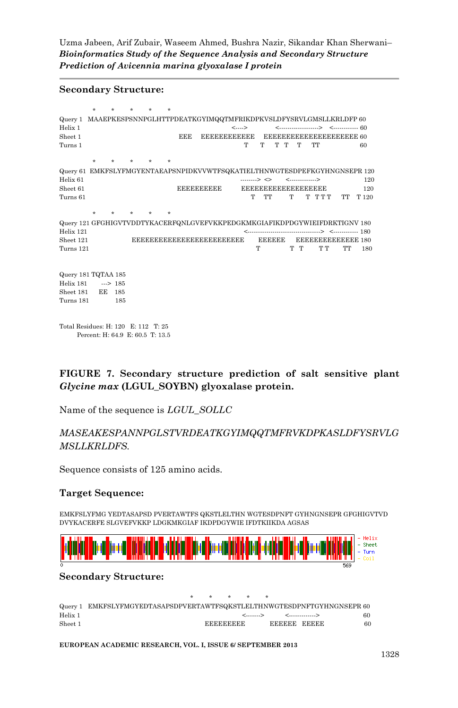#### **Secondary Structure:**

|                                                                                    | $\star$                          | ÷   | ÷ | ÷ |     |                                 |                    |                           |   |               |   |                 |       |                             |       |
|------------------------------------------------------------------------------------|----------------------------------|-----|---|---|-----|---------------------------------|--------------------|---------------------------|---|---------------|---|-----------------|-------|-----------------------------|-------|
| Query 1 MAAEPKESPSNNPGLHTTPDEATKGYIMQQTMFRIKDPKVSLDFYSRVLGMSLLKRLDFP 60<br>Helix 1 |                                  |     |   |   |     |                                 |                    | $\leftarrow$              |   |               |   |                 |       |                             |       |
| Sheet 1                                                                            |                                  |     |   |   | EEE |                                 | <b>EEEEEEEEEEE</b> |                           |   |               |   |                 |       | EEEEEEEEEEEEEEEEEEEE 60     |       |
| Turns 1                                                                            |                                  |     |   |   |     |                                 |                    | T                         | T | T             | T | T               | TT    |                             | 60    |
|                                                                                    |                                  |     |   |   |     |                                 |                    |                           |   |               |   |                 |       |                             |       |
|                                                                                    | $\star$                          |     |   |   |     |                                 |                    |                           |   |               |   |                 |       |                             |       |
| Query 61 EMKFSLYFMGYENTAEAPSNPIDKVVWTFSQKATIELTHNWGTESDPEFKGYHNGNSEPR 120          |                                  |     |   |   |     |                                 |                    |                           |   |               |   |                 |       |                             |       |
| Helix 61                                                                           |                                  |     |   |   |     |                                 |                    | --------> <>              |   |               |   | <-------------> |       |                             | 120   |
| Sheet <sub>61</sub>                                                                |                                  |     |   |   |     | <b>EEEEEEEEEE</b>               |                    | <b>EEEEEEEEEEEEEEEEEE</b> |   |               |   |                 |       |                             | 120   |
| Turns 61                                                                           |                                  |     |   |   |     |                                 |                    | Т                         |   | TT            | T |                 | ፐ ፐፐፐ | TT                          | T 120 |
|                                                                                    |                                  |     |   |   |     |                                 |                    |                           |   |               |   |                 |       |                             |       |
|                                                                                    | ÷                                |     |   |   |     |                                 |                    |                           |   |               |   |                 |       |                             |       |
| Query 121 GFGHIGVTVDDTYKACERFQNLGVEFVKKPEDGKMKGIAFIKDPDGYWIEIFDRKTIGNV 180         |                                  |     |   |   |     |                                 |                    |                           |   |               |   |                 |       |                             |       |
| Helix 121                                                                          |                                  |     |   |   |     |                                 |                    |                           |   |               |   |                 |       | --------> <------------ 180 |       |
| Sheet 121                                                                          |                                  |     |   |   |     | <b>EEEEEEEEEEEEEEEEEEEEEEEE</b> |                    |                           |   | <b>EEEEEE</b> |   |                 |       | EEEEEEEEEEEEE 180           |       |
| Turns 121                                                                          |                                  |     |   |   |     |                                 |                    |                           | т |               |   | ፐ ፐ             | ፐ ፐ   | TT                          | 180   |
|                                                                                    |                                  |     |   |   |     |                                 |                    |                           |   |               |   |                 |       |                             |       |
| Query 181 TQTAA 185                                                                |                                  |     |   |   |     |                                 |                    |                           |   |               |   |                 |       |                             |       |
| Helix 181                                                                          | $\implies$ 185                   |     |   |   |     |                                 |                    |                           |   |               |   |                 |       |                             |       |
| Sheet 181                                                                          | EE                               | 185 |   |   |     |                                 |                    |                           |   |               |   |                 |       |                             |       |
| Turns 181                                                                          |                                  | 185 |   |   |     |                                 |                    |                           |   |               |   |                 |       |                             |       |
| Total Residues: H: 120 E: 112 T: 25                                                |                                  |     |   |   |     |                                 |                    |                           |   |               |   |                 |       |                             |       |
|                                                                                    | Percent: H: 64.9 E: 60.5 T: 13.5 |     |   |   |     |                                 |                    |                           |   |               |   |                 |       |                             |       |

**FIGURE 7. Secondary structure prediction of salt sensitive plant** *Glycine max* **(LGUL\_SOYBN) glyoxalase protein.**

Name of the sequence is *LGUL\_SOLLC*

### *MASEAKESPANNPGLSTVRDEATKGYIMQQTMFRVKDPKASLDFYSRVLG MSLLKRLDFS.*

Sequence consists of 125 amino acids.

#### **Target Sequence:**

EMKFSLYFMG YEDTASAPSD PVERTAWTFS QKSTLELTHN WGTESDPNFT GYHNGNSEPR GFGHIGVTVD DVYKACERFE SLGVEFVKKP LDGKMKGIAF IKDPDGYWIE IFDTKIIKDA AGSAS



#### **Secondary Structure:**

|         |                                                                         |  | .                |                 |     |
|---------|-------------------------------------------------------------------------|--|------------------|-----------------|-----|
|         | Query 1 EMKFSLYFMGYEDTASAPSDPVERTAWTFSQKSTLELTHNWGTESDPNFTGYHNGNSEPR 60 |  |                  |                 |     |
| Helix 1 |                                                                         |  |                  | <>           <> | 60. |
| Sheet 1 |                                                                         |  | <b>BRERBBERG</b> | EEEEEE EEEEE    | 60  |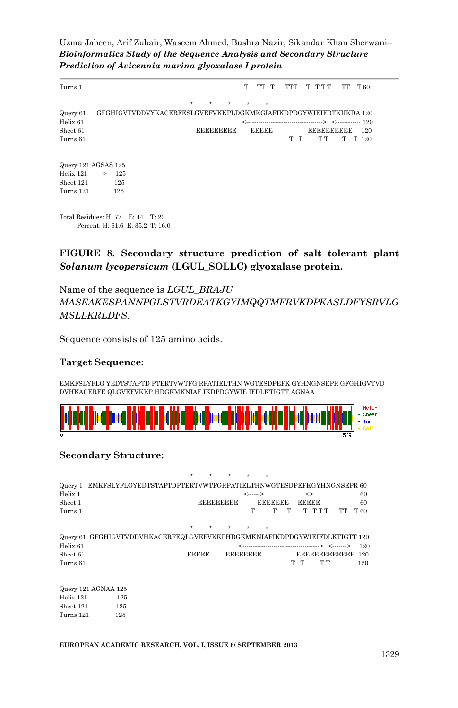| Turns 1                                                               |   |                   |  |                                                                  |   |                  |  | т | TT T         |  | TTT | T TTT             | TТ | T 60  |
|-----------------------------------------------------------------------|---|-------------------|--|------------------------------------------------------------------|---|------------------|--|---|--------------|--|-----|-------------------|----|-------|
|                                                                       |   |                   |  |                                                                  | ÷ |                  |  | ÷ | $\star$      |  |     |                   |    |       |
| Query 61                                                              |   |                   |  | GFGHIGVTVDDVYKACERFESLGVEFVKKPLDGKMKGIAFIKDPDGYWIEIFDTKIIKDA 120 |   |                  |  |   |              |  |     |                   |    |       |
| Helix <sub>61</sub>                                                   |   |                   |  |                                                                  |   |                  |  |   |              |  |     |                   |    |       |
| Sheet 61                                                              |   |                   |  |                                                                  |   | <b>EEEEEEEEE</b> |  |   | <b>EEEEE</b> |  |     | <b>EEEEEEEEEE</b> |    | 120   |
| Turns 61                                                              |   |                   |  |                                                                  |   |                  |  |   |              |  | T T | ፐ ፐ               | т  | T 120 |
| Query 121 AGSAS 125<br>Helix 121<br>Sheet 121<br>Turns 121            | > | 125<br>125<br>125 |  |                                                                  |   |                  |  |   |              |  |     |                   |    |       |
| Total Residues: H: 77 E: 44 T: 20<br>Percent: H: 61.6 E: 35.2 T: 16.0 |   |                   |  |                                                                  |   |                  |  |   |              |  |     |                   |    |       |

### **FIGURE 8. Secondary structure prediction of salt tolerant plant** *Solanum lycopersicum* **(LGUL\_SOLLC) glyoxalase protein.**

Name of the sequence is *LGUL\_BRAJU MASEAKESPANNPGLSTVRDEATKGYIMQQTMFRVKDPKASLDFYSRVLG MSLLKRLDFS.*

Sequence consists of 125 amino acids.

#### **Target Sequence:**

EMKFSLYFLG YEDTSTAPTD PTERTVWTFG RPATIELTHN WGTESDPEFK GYHNGNSEPR GFGHIGVTVD DVHKACERFE QLGVEFVKKP HDGKMKNIAF IKDPDGYWIE IFDLKTIGTT AGNAA



#### **Secondary Structure:**

|                     |                                                                           |              | ÷ |                  |                 | ÷              |   |              |                  |    |       |
|---------------------|---------------------------------------------------------------------------|--------------|---|------------------|-----------------|----------------|---|--------------|------------------|----|-------|
| Query 1             | EMKFSLYFLGYEDTSTAPTDPTERTVWTFGRPATIELTHNWGTESDPEFKGYHNGNSEPR 60           |              |   |                  |                 |                |   |              |                  |    |       |
| Helix 1             |                                                                           |              |   |                  | <------>        |                |   | ◇            |                  |    | 60    |
| Sheet 1             |                                                                           |              |   | <b>EEEEEEEEE</b> |                 | <b>EDEDBEE</b> |   | <b>EEEEE</b> |                  |    | 60    |
| Turns 1             |                                                                           |              |   |                  | т               | т              | T |              | ፐ ፐፐፐ            | TТ | T 60  |
|                     |                                                                           | ÷            | ÷ | ÷                | ÷               | $\star$        |   |              |                  |    |       |
|                     | Query 61 GFGHIGVTVDDVHKACERFEQLGVEFVKKPHDGKMKNIAFIKDPDGYWIEIFDLKTIGTT 120 |              |   |                  |                 |                |   |              |                  |    |       |
| Helix 61            |                                                                           |              |   |                  |                 |                |   |              |                  |    | - 120 |
| Sheet <sub>61</sub> |                                                                           | <b>EEEEE</b> |   |                  | <b>EEEEEEEE</b> |                |   |              | EEEEEEEEEEEE 120 |    |       |
| Turns 61            |                                                                           |              |   |                  |                 |                |   | ፐ ፐ          | ጥጥ               |    | 120   |
|                     | Query 121 AGNAA 125                                                       |              |   |                  |                 |                |   |              |                  |    |       |
| Helix 121           | 125                                                                       |              |   |                  |                 |                |   |              |                  |    |       |

| Helix 121 | 125 |
|-----------|-----|
| Sheet 121 | 125 |
| Turns 121 | 125 |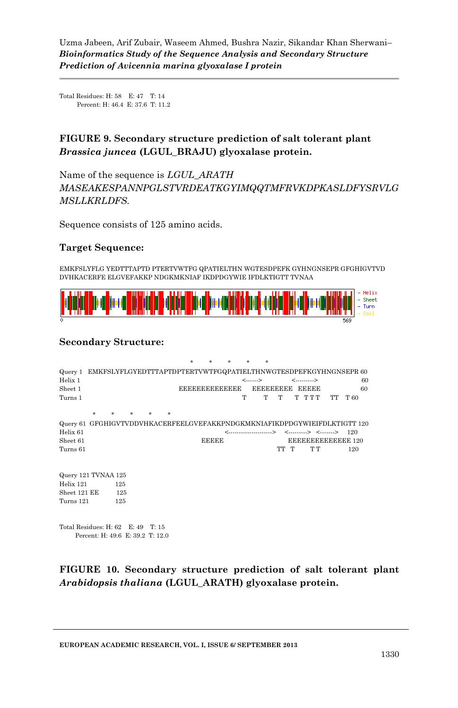Total Residues: H: 58 E: 47 T: 14 Percent: H: 46.4 E: 37.6 T: 11.2

## **FIGURE 9. Secondary structure prediction of salt tolerant plant** *Brassica juncea* **(LGUL\_BRAJU) glyoxalase protein.**

Name of the sequence is *LGUL\_ARATH MASEAKESPANNPGLSTVRDEATKGYIMQQTMFRVKDPKASLDFYSRVLG MSLLKRLDFS.*

Sequence consists of 125 amino acids.

#### **Target Sequence:**

EMKFSLYFLG YEDTTTAPTD PTERTVWTFG QPATIELTHN WGTESDPEFK GYHNGNSEPR GFGHIGVTVD DVHKACERFE ELGVEFAKKP NDGKMKNIAF IKDPDGYWIE IFDLKTIGTT TVNAA



#### **Secondary Structure:**

|                                                                           |         |     |   | ÷ | ÷                    | ÷ |             | ÷               |      |                      |    |                   |
|---------------------------------------------------------------------------|---------|-----|---|---|----------------------|---|-------------|-----------------|------|----------------------|----|-------------------|
| Query 1 EMKFSLYFLGYEDTTTAPTDPTERTVWTFGQPATIELTHNWGTESDPEFKGYHNGNSEPR 60   |         |     |   |   |                      |   |             |                 |      |                      |    |                   |
| Helix 1                                                                   |         |     |   |   |                      |   | $\langle$ > |                 |      | <>                   |    | 60                |
| Sheet 1                                                                   |         |     |   |   | <b>EEEEEEEEEEEEE</b> |   |             | EEEEEEEEE EEEEE |      |                      |    | 60                |
| Turns 1                                                                   |         |     |   |   |                      |   | Т           | т               | т    | T TTT                | TT | T 60              |
|                                                                           | $\star$ |     | ÷ |   |                      |   |             |                 |      |                      |    |                   |
| Query 61 GFGHIGVTVDDVHKACERFEELGVEFAKKPNDGKMKNIAFIKDPDGYWIEIFDLKTIGTT 120 |         |     |   |   |                      |   |             |                 |      |                      |    |                   |
| Helix <sub>61</sub>                                                       |         |     |   |   |                      |   |             | <>              |      | <--------> <-------> |    | 120               |
| Sheet 61                                                                  |         |     |   |   | <b>EEEEE</b>         |   |             |                 |      |                      |    | EEEEEEEEEEEEE 120 |
| Turns 61                                                                  |         |     |   |   |                      |   |             |                 | TT T | ፐ ፐ                  |    | 120               |
|                                                                           |         |     |   |   |                      |   |             |                 |      |                      |    |                   |
| Query 121 TVNAA 125                                                       |         |     |   |   |                      |   |             |                 |      |                      |    |                   |
| Helix 121                                                                 |         | 125 |   |   |                      |   |             |                 |      |                      |    |                   |
| Sheet 121 EE                                                              |         | 125 |   |   |                      |   |             |                 |      |                      |    |                   |
| Turns 121                                                                 |         | 125 |   |   |                      |   |             |                 |      |                      |    |                   |
| Total Residues: H: 62 E: 49 T: 15                                         |         |     |   |   |                      |   |             |                 |      |                      |    |                   |

Percent: H: 49.6 E: 39.2 T: 12.0

**FIGURE 10. Secondary structure prediction of salt tolerant plant** *Arabidopsis thaliana* **(LGUL\_ARATH) glyoxalase protein.**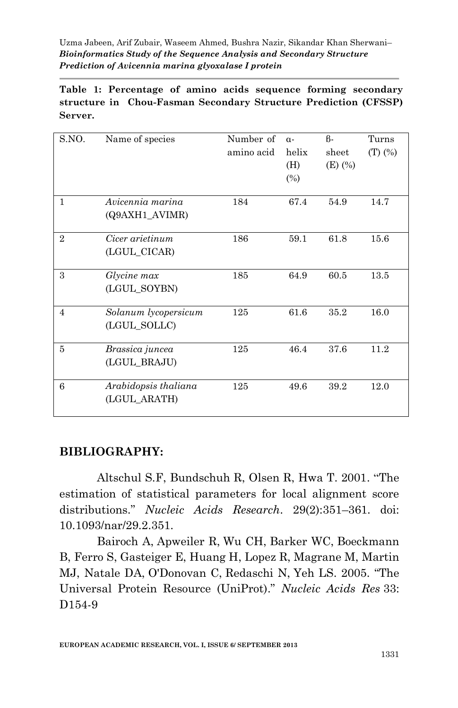**Table 1: Percentage of amino acids sequence forming secondary structure in Chou-Fasman Secondary Structure Prediction (CFSSP) Server.**

| S.NO.          | Name of species                      | Number of<br>amino acid | $\alpha$ -<br>helix<br>(H)<br>$(\%)$ | $\beta$ -<br>sheet<br>$(E)$ $(\%)$ | Turns<br>$(T)$ $(\%)$ |
|----------------|--------------------------------------|-------------------------|--------------------------------------|------------------------------------|-----------------------|
| $\mathbf{1}$   | Avicennia marina<br>(Q9AXH1_AVIMR)   | 184                     | 67.4                                 | 54.9                               | 14.7                  |
| $\overline{2}$ | Cicer arietinum<br>(LGUL_CICAR)      | 186                     | 59.1                                 | 61.8                               | 15.6                  |
| 3              | Glycine max<br>(LGUL_SOYBN)          | 185                     | 64.9                                 | 60.5                               | 13.5                  |
| $\overline{4}$ | Solanum lycopersicum<br>(LGUL_SOLLC) | 125                     | 61.6                                 | 35.2                               | 16.0                  |
| 5              | Brassica juncea<br>(LGUL_BRAJU)      | 125                     | 46.4                                 | 37.6                               | 11.2                  |
| 6              | Arabidopsis thaliana<br>(LGUL ARATH) | 125                     | 49.6                                 | 39.2                               | 12.0                  |

## **BIBLIOGRAPHY:**

Altschul S.F, Bundschuh R, Olsen R, Hwa T. 2001. "The estimation of statistical parameters for local alignment score distributions." *Nucleic Acids Research*. 29(2):351–361. doi: 10.1093/nar/29.2.351.

Bairoch A, Apweiler R, Wu CH, Barker WC, Boeckmann B, Ferro S, Gasteiger E, Huang H, Lopez R, Magrane M, Martin MJ, Natale DA, O'Donovan C, Redaschi N, Yeh LS. 2005. "The Universal Protein Resource (UniProt)." *Nucleic Acids Res* 33: D<sub>154-9</sub>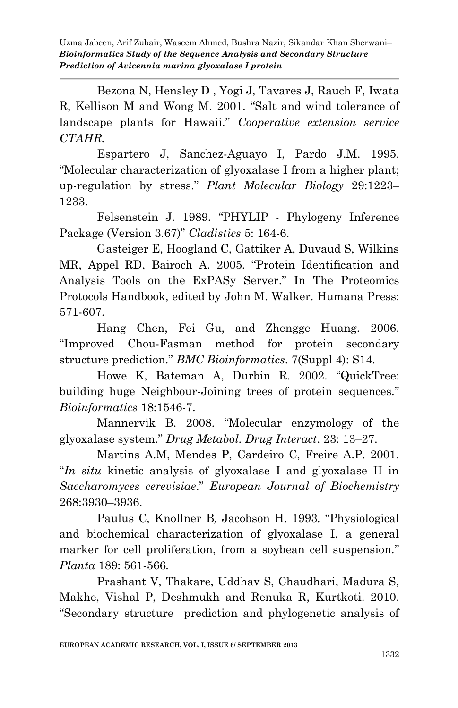Bezona N, Hensley D , Yogi J, Tavares J, Rauch F, Iwata R, Kellison M and Wong M. 2001. "Salt and wind tolerance of landscape plants for Hawaii." *Cooperative extension service CTAHR.* 

Espartero J, Sanchez-Aguayo I, Pardo J.M. 1995. "Molecular characterization of glyoxalase I from a higher plant; up-regulation by stress." *Plant Molecular Biology* 29:1223– 1233.

Felsenstein J. 1989. "PHYLIP - Phylogeny Inference Package (Version 3.67)" *Cladistics* 5: 164-6.

Gasteiger E, Hoogland C, Gattiker A, Duvaud S, Wilkins MR, Appel RD, Bairoch A. 2005. "Protein Identification and Analysis Tools on the ExPASy Server." In The Proteomics Protocols Handbook, edited by John M. Walker. Humana Press: 571-607.

Hang Chen, Fei Gu, and Zhengge Huang. 2006. "Improved Chou-Fasman method for protein secondary structure prediction." *BMC Bioinformatics*. 7(Suppl 4): S14.

Howe K, Bateman A, Durbin R. 2002. "QuickTree: building huge Neighbour-Joining trees of protein sequences." *Bioinformatics* 18:1546-7.

Mannervik B. 2008. "Molecular enzymology of the glyoxalase system." *Drug Metabol. Drug Interact*. 23: 13–27.

Martins A.M, Mendes P, Cardeiro C, Freire A.P. 2001. "*In situ* kinetic analysis of glyoxalase I and glyoxalase II in *Saccharomyces cerevisiae*." *European Journal of Biochemistry* 268:3930–3936.

Paulus C*,* Knollner B*,* Jacobson H. 1993*.* "Physiological and biochemical characterization of glyoxalase I, a general marker for cell proliferation, from a soybean cell suspension." *Planta* 189: 561-566*.* 

Prashant V, Thakare, Uddhav S, Chaudhari, Madura S, Makhe, Vishal P, Deshmukh and Renuka R, Kurtkoti. 2010. "Secondary structure prediction and phylogenetic analysis of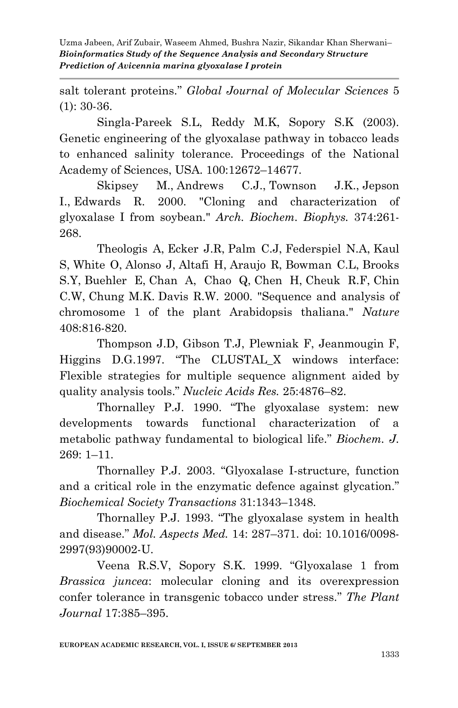salt tolerant proteins." *Global Journal of Molecular Sciences* 5 (1): 30-36.

Singla-Pareek S.L, Reddy M.K, Sopory S.K (2003). Genetic engineering of the glyoxalase pathway in tobacco leads to enhanced salinity tolerance. Proceedings of the National Academy of Sciences, USA. 100:12672–14677.

Skipsey M., Andrews C.J., Townson J.K., Jepson I., Edwards R. 2000. "Cloning and characterization of glyoxalase I from soybean." *Arch. Biochem. Biophys.* 374:261- 268.

Theologis A, Ecker J.R, Palm C.J, Federspiel N.A, Kaul S, White O, Alonso J, Altafi H, Araujo R, Bowman C.L, Brooks S.Y, Buehler E, Chan A, Chao Q, Chen H, Cheuk R.F, Chin C.W, Chung M.K. Davis R.W. 2000. "Sequence and analysis of chromosome 1 of the plant Arabidopsis thaliana." *Nature* 408:816-820.

Thompson J.D, Gibson T.J, Plewniak F, Jeanmougin F, Higgins D.G.1997. "The CLUSTAL\_X windows interface: Flexible strategies for multiple sequence alignment aided by quality analysis tools." *Nucleic Acids Res.* 25:4876–82.

Thornalley P.J. 1990. "The glyoxalase system: new developments towards functional characterization of a metabolic pathway fundamental to biological life." *Biochem. J.* 269: 1–11.

Thornalley P.J. 2003. "Glyoxalase I-structure, function and a critical role in the enzymatic defence against glycation." *Biochemical Society Transactions* 31:1343–1348.

Thornalley P.J. 1993. "The glyoxalase system in health and disease." *Mol. Aspects Med.* 14: 287–371. doi: 10.1016/0098- 2997(93)90002-U.

Veena R.S.V, Sopory S.K. 1999. "Glyoxalase 1 from *Brassica juncea*: molecular cloning and its overexpression confer tolerance in transgenic tobacco under stress." *The Plant Journal* 17:385–395.